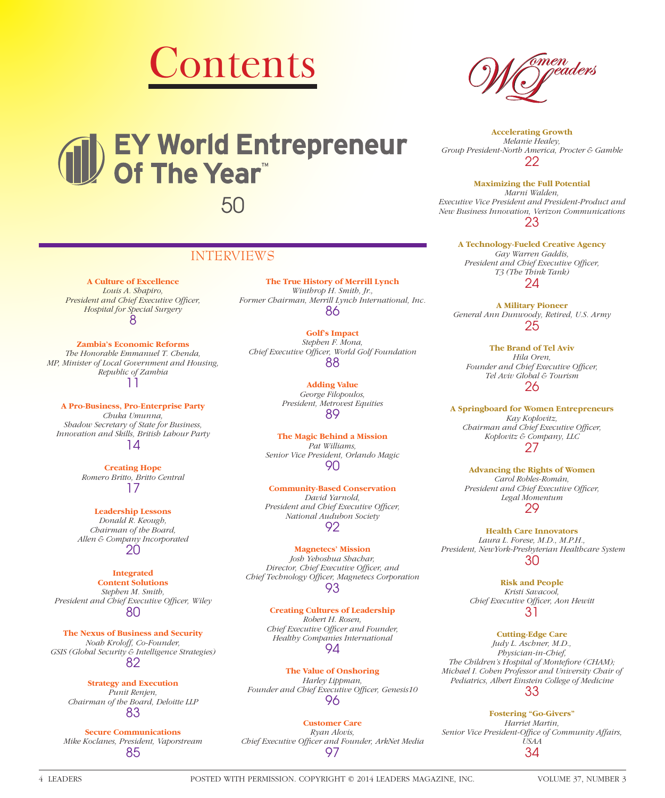

# EY World Entrepreneur<br>Of The Year<sup>\*</sup> 50

### INTERVIEWS

**A Culture of Excellence** *Louis A. Shapiro,*  **President and Chief Executive Officer,** *Hospital for Special Surgery* 8

**Zambia's Economic Reforms** *The Honorable Emmanuel T. Chenda, MP, Minister of Local Government and Housing, Republic of Zambia* 11

**A Pro-Business, Pro-Enterprise Party** *Chuka Umunna, Shadow Secretary of State for Business, Innovation and Skills, British Labour Party* 14

> **Creating Hope** *Romero Britto, Britto Central* 17

**Leadership Lessons** *Donald R. Keough, Chairman of the Board, Allen & Company Incorporated* 20

**Integrated Content Solutions** *Stephen M. Smith,*  President and Chief Executive Officer, Wiley 80

**The Nexus of Business and Security** *Noah Kroloff, Co-Founder, GSIS (Global Security & Intelligence Strategies)* 82

> **Strategy and Execution** *Punit Renjen, Chairman of the Board, Deloitte LLP* 83

**Secure Communications** *Mike Koclanes, President, Vaporstream* 85

**The True History of Merrill Lynch** *Winthrop H. Smith, Jr., Former Chairman, Merrill Lynch International, Inc.* 86

**Golf's Impact** *Stephen F. Mona, Chief Executive Offi cer, World Golf Foundation* 88

> **Adding Value** *George Filopoulos, President, Metrovest Equities* 89

**The Magic Behind a Mission** *Pat Williams, Senior Vice President, Orlando Magic* 90

**Community-Based Conservation** *David Yarnold, President and Chief Executive Officer, National Audubon Society* 92

**Magnetecs' Mission** *Josh Yehoshua Shachar,*  **Director, Chief Executive Officer, and** *Chief Technology Offi cer, Magnetecs Corporation* 93

> **Creating Cultures of Leadership** *Robert H. Rosen, Chief Executive Officer and Founder, Healthy Companies International* 94

**The Value of Onshoring** *Harley Lippman,*  Founder and Chief Executive Officer, Genesis10 96

**Customer Care** *Ryan Alovis, Chief Executive Offi cer and Founder, ArkNet Media* 97



**Accelerating Growth** *Melanie Healey, Group President-North America, Procter & Gamble* 22

**Maximizing the Full Potential** *Marni Walden, Executive Vice President and President-Product and New Business Innovation, Verizon Communications* 23

> **A Technology-Fueled Creative Agency** *Gay Warren Gaddis, President and Chief Executive Officer, T3 (The Think Tank)* 24

**A Military Pioneer** *General Ann Dunwoody, Retired, U.S. Army* 25

**The Brand of Tel Aviv** *Hila Oren,*  Founder and Chief Executive Officer, *Tel Aviv Global & Tourism* 26

**A Springboard for Women Entrepreneurs** *Kay Koplovitz, Chairman and Chief Executive Officer, Koplovitz & Company, LLC* 27

**Advancing the Rights of Women** *Carol Robles-Román,*  **President and Chief Executive Officer,** *Legal Momentum* 29

**Health Care Innovators** *Laura L. Forese, M.D., M.P.H., President, NewYork-Presbyterian Healthcare System* 30

> **Risk and People** *Kristi Savacool,*  **Chief Executive Officer, Aon Hewitt** 31

**Cutting-Edge Care** *Judy L. Aschner, M.D., Physician-in-Chief,*  The Children's Hospital of Montefiore (CHAM); *Michael I. Cohen Professor and University Chair of Pediatrics, Albert Einstein College of Medicine*

33

**Fostering "Go-Givers"** *Harriet Martin,*  Senior Vice President-Office of Community Affairs, *USAA* 34